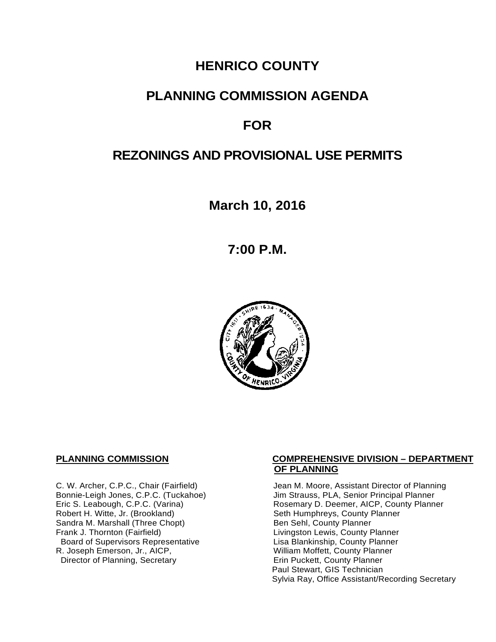# **HENRICO COUNTY**

# **PLANNING COMMISSION AGENDA**

# **FOR**

# **REZONINGS AND PROVISIONAL USE PERMITS**

**March 10, 2016**

**7:00 P.M.**



Sandra M. Marshall (Three Chopt)<br>Frank J. Thornton (Fairfield) Board of Supervisors Representative and Lisa Blankinship, County Planne<br>L. Joseph Emerson, Jr., AICP, And Lisa Blankinship, County Planner R. Joseph Emerson, Jr., AICP, <br>
Director of Planning, Secretary 
William Moffett, County Planner Director of Planning, Secretary

#### **PLANNING COMMISSION COMPREHENSIVE DIVISION – DEPARTMENT OF PLANNING**

C. W. Archer, C.P.C., Chair (Fairfield) Jean M. Moore, Assistant Director of Planning<br>Bonnie-Leigh Jones, C.P.C. (Tuckahoe) Jim Strauss, PLA, Senior Principal Planner Bonnie-Leigh Jones, C.P.C. (Tuckahoe) Jim Strauss, PLA, Senior Principal Planner<br>Eric S. Leabough, C.P.C. (Varina) Rosemary D. Deemer, AICP, County Planne Eric S. Leabough, C.P.C. (Varina) The Rosemary D. Deemer, AICP, County Planner<br>Robert H. Witte, Jr. (Brookland) The Seth Humphreys, County Planner Seth Humphreys, County Planner<br>Ben Sehl, County Planner Livingston Lewis, County Planner<br>Lisa Blankinship, County Planner Paul Stewart, GIS Technician Sylvia Ray, Office Assistant/Recording Secretary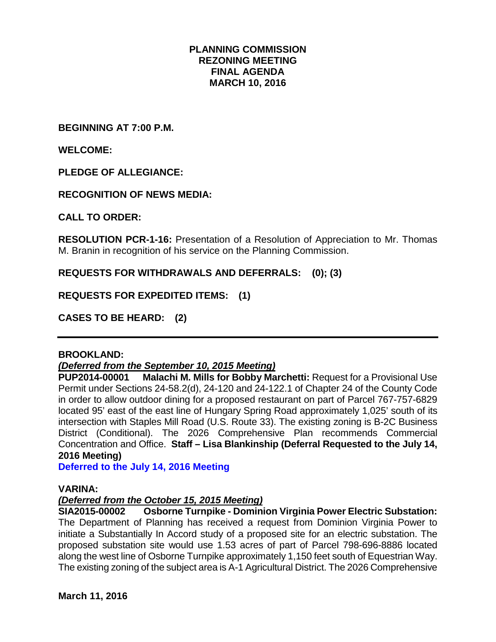## **PLANNING COMMISSION REZONING MEETING FINAL AGENDA MARCH 10, 2016**

**BEGINNING AT 7:00 P.M.**

**WELCOME:**

**PLEDGE OF ALLEGIANCE:**

**RECOGNITION OF NEWS MEDIA:**

**CALL TO ORDER:**

**RESOLUTION PCR-1-16:** Presentation of a Resolution of Appreciation to Mr. Thomas M. Branin in recognition of his service on the Planning Commission.

**REQUESTS FOR WITHDRAWALS AND DEFERRALS: (0); (3)**

**REQUESTS FOR EXPEDITED ITEMS: (1)**

**CASES TO BE HEARD: (2)**

#### **BROOKLAND:**

#### *(Deferred from the September 10, 2015 Meeting)*

**PUP2014-00001 Malachi M. Mills for Bobby Marchetti:** Request for a Provisional Use Permit under Sections 24-58.2(d), 24-120 and 24-122.1 of Chapter 24 of the County Code in order to allow outdoor dining for a proposed restaurant on part of Parcel 767-757-6829 located 95' east of the east line of Hungary Spring Road approximately 1,025' south of its intersection with Staples Mill Road (U.S. Route 33). The existing zoning is B-2C Business District (Conditional). The 2026 Comprehensive Plan recommends Commercial Concentration and Office. **Staff – Lisa Blankinship (Deferral Requested to the July 14, 2016 Meeting)**

**Deferred to the July 14, 2016 Meeting**

#### **VARINA:**

#### *(Deferred from the October 15, 2015 Meeting)*

**SIA2015-00002 Osborne Turnpike - Dominion Virginia Power Electric Substation:** The Department of Planning has received a request from Dominion Virginia Power to initiate a Substantially In Accord study of a proposed site for an electric substation. The proposed substation site would use 1.53 acres of part of Parcel 798-696-8886 located along the west line of Osborne Turnpike approximately 1,150 feet south of Equestrian Way. The existing zoning of the subject area is A-1 Agricultural District. The 2026 Comprehensive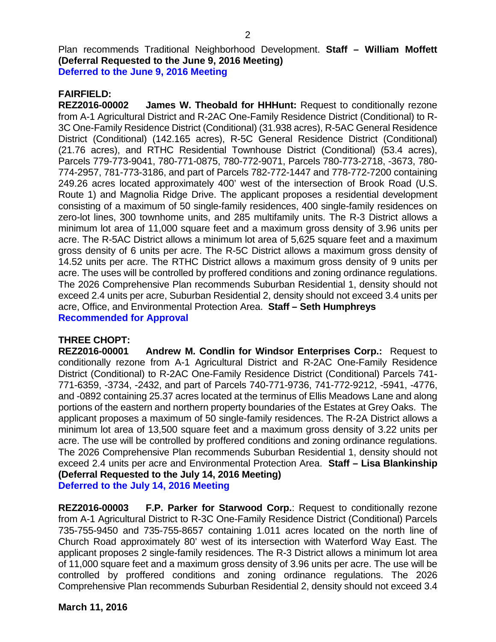Plan recommends Traditional Neighborhood Development. **Staff – William Moffett (Deferral Requested to the June 9, 2016 Meeting) Deferred to the June 9, 2016 Meeting**

### **FAIRFIELD:**

**REZ2016-00002 James W. Theobald for HHHunt:** Request to conditionally rezone from A-1 Agricultural District and R-2AC One-Family Residence District (Conditional) to R-3C One-Family Residence District (Conditional) (31.938 acres), R-5AC General Residence District (Conditional) (142.165 acres), R-5C General Residence District (Conditional) (21.76 acres), and RTHC Residential Townhouse District (Conditional) (53.4 acres), Parcels 779-773-9041, 780-771-0875, 780-772-9071, Parcels 780-773-2718, -3673, 780- 774-2957, 781-773-3186, and part of Parcels 782-772-1447 and 778-772-7200 containing 249.26 acres located approximately 400' west of the intersection of Brook Road (U.S. Route 1) and Magnolia Ridge Drive. The applicant proposes a residential development consisting of a maximum of 50 single-family residences, 400 single-family residences on zero-lot lines, 300 townhome units, and 285 multifamily units. The R-3 District allows a minimum lot area of 11,000 square feet and a maximum gross density of 3.96 units per acre. The R-5AC District allows a minimum lot area of 5,625 square feet and a maximum gross density of 6 units per acre. The R-5C District allows a maximum gross density of 14.52 units per acre. The RTHC District allows a maximum gross density of 9 units per acre. The uses will be controlled by proffered conditions and zoning ordinance regulations. The 2026 Comprehensive Plan recommends Suburban Residential 1, density should not exceed 2.4 units per acre, Suburban Residential 2, density should not exceed 3.4 units per acre, Office, and Environmental Protection Area. **Staff – Seth Humphreys Recommended for Approval**

## **THREE CHOPT:**

**REZ2016-00001 Andrew M. Condlin for Windsor Enterprises Corp.:** Request to conditionally rezone from A-1 Agricultural District and R-2AC One-Family Residence District (Conditional) to R-2AC One-Family Residence District (Conditional) Parcels 741- 771-6359, -3734, -2432, and part of Parcels 740-771-9736, 741-772-9212, -5941, -4776, and -0892 containing 25.37 acres located at the terminus of Ellis Meadows Lane and along portions of the eastern and northern property boundaries of the Estates at Grey Oaks. The applicant proposes a maximum of 50 single-family residences. The R-2A District allows a minimum lot area of 13,500 square feet and a maximum gross density of 3.22 units per acre. The use will be controlled by proffered conditions and zoning ordinance regulations. The 2026 Comprehensive Plan recommends Suburban Residential 1, density should not exceed 2.4 units per acre and Environmental Protection Area. **Staff – Lisa Blankinship (Deferral Requested to the July 14, 2016 Meeting) Deferred to the July 14, 2016 Meeting**

**REZ2016-00003 F.P. Parker for Starwood Corp.**: Request to conditionally rezone from A-1 Agricultural District to R-3C One-Family Residence District (Conditional) Parcels 735-755-9450 and 735-755-8657 containing 1.011 acres located on the north line of Church Road approximately 80' west of its intersection with Waterford Way East. The applicant proposes 2 single-family residences. The R-3 District allows a minimum lot area of 11,000 square feet and a maximum gross density of 3.96 units per acre. The use will be controlled by proffered conditions and zoning ordinance regulations. The 2026 Comprehensive Plan recommends Suburban Residential 2, density should not exceed 3.4